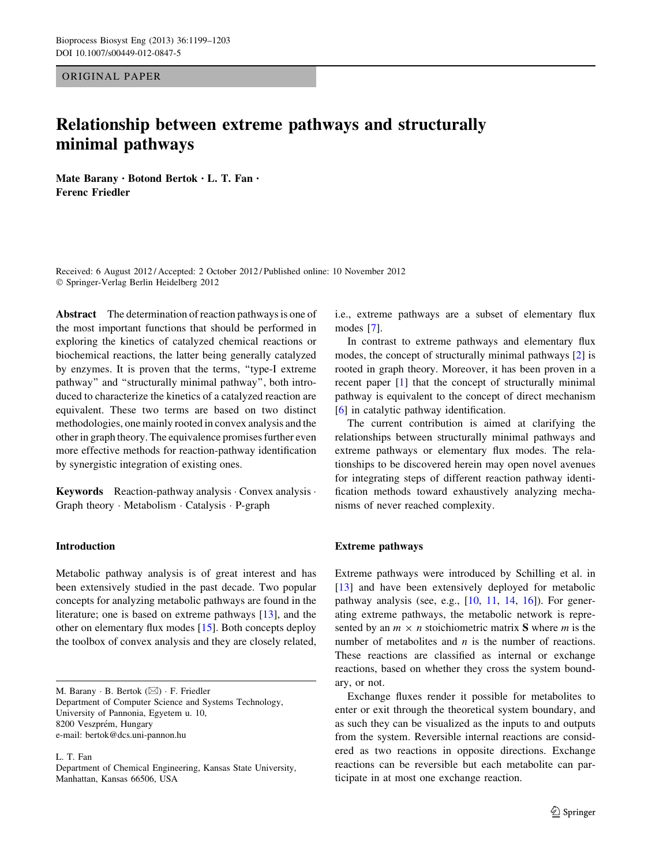ORIGINAL PAPER

# Relationship between extreme pathways and structurally minimal pathways

Mate Barany • Botond Bertok • L. T. Fan • Ferenc Friedler

Received: 6 August 2012 / Accepted: 2 October 2012 / Published online: 10 November 2012 - Springer-Verlag Berlin Heidelberg 2012

Abstract The determination of reaction pathways is one of the most important functions that should be performed in exploring the kinetics of catalyzed chemical reactions or biochemical reactions, the latter being generally catalyzed by enzymes. It is proven that the terms, ''type-I extreme pathway'' and ''structurally minimal pathway'', both introduced to characterize the kinetics of a catalyzed reaction are equivalent. These two terms are based on two distinct methodologies, one mainly rooted in convex analysis and the other in graph theory. The equivalence promises further even more effective methods for reaction-pathway identification by synergistic integration of existing ones.

Keywords Reaction-pathway analysis · Convex analysis · Graph theory - Metabolism - Catalysis - P-graph

# Introduction

Metabolic pathway analysis is of great interest and has been extensively studied in the past decade. Two popular concepts for analyzing metabolic pathways are found in the literature; one is based on extreme pathways [\[13](#page-4-0)], and the other on elementary flux modes [[15\]](#page-4-0). Both concepts deploy the toolbox of convex analysis and they are closely related,

M. Barany  $\cdot$  B. Bertok ( $\boxtimes$ )  $\cdot$  F. Friedler Department of Computer Science and Systems Technology, University of Pannonia, Egyetem u. 10, 8200 Veszprém, Hungary e-mail: bertok@dcs.uni-pannon.hu

L. T. Fan

i.e., extreme pathways are a subset of elementary flux modes [[7\]](#page-4-0).

In contrast to extreme pathways and elementary flux modes, the concept of structurally minimal pathways [\[2](#page-4-0)] is rooted in graph theory. Moreover, it has been proven in a recent paper [[1\]](#page-4-0) that the concept of structurally minimal pathway is equivalent to the concept of direct mechanism [\[6](#page-4-0)] in catalytic pathway identification.

The current contribution is aimed at clarifying the relationships between structurally minimal pathways and extreme pathways or elementary flux modes. The relationships to be discovered herein may open novel avenues for integrating steps of different reaction pathway identification methods toward exhaustively analyzing mechanisms of never reached complexity.

### Extreme pathways

Extreme pathways were introduced by Schilling et al. in [\[13](#page-4-0)] and have been extensively deployed for metabolic pathway analysis (see, e.g., [[10,](#page-4-0) [11](#page-4-0), [14,](#page-4-0) [16](#page-4-0)]). For generating extreme pathways, the metabolic network is represented by an  $m \times n$  stoichiometric matrix S where m is the number of metabolites and  $n$  is the number of reactions. These reactions are classified as internal or exchange reactions, based on whether they cross the system boundary, or not.

Exchange fluxes render it possible for metabolites to enter or exit through the theoretical system boundary, and as such they can be visualized as the inputs to and outputs from the system. Reversible internal reactions are considered as two reactions in opposite directions. Exchange reactions can be reversible but each metabolite can participate in at most one exchange reaction.

Department of Chemical Engineering, Kansas State University, Manhattan, Kansas 66506, USA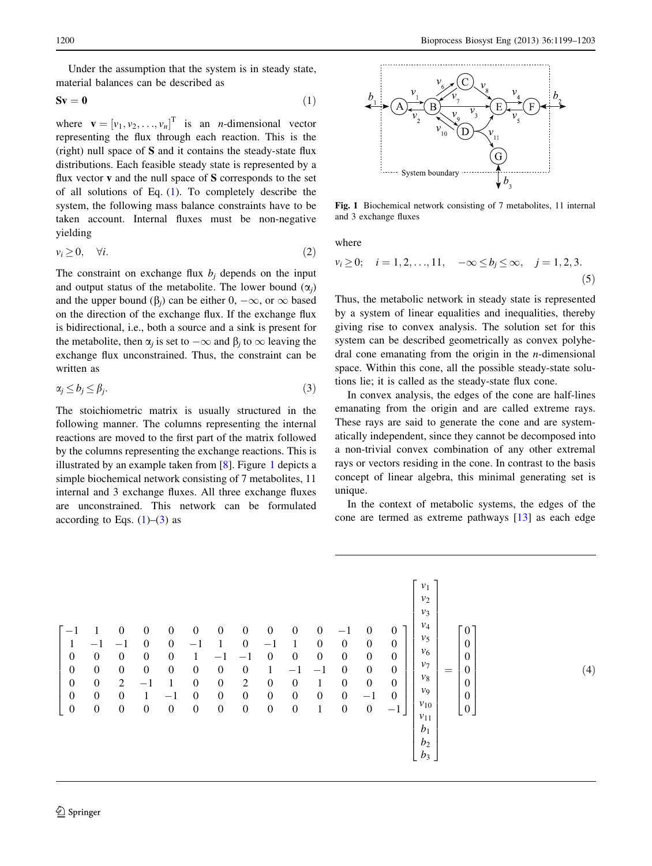<span id="page-1-0"></span>Under the assumption that the system is in steady state, material balances can be described as

$$
Sv = 0 \tag{1}
$$

where  $\mathbf{v} = [v_1, v_2, \dots, v_n]^T$  is an *n*-dimensional vector representing the flux through each reaction. This is the (right) null space of S and it contains the steady-state flux distributions. Each feasible steady state is represented by a flux vector  $\bf{v}$  and the null space of  $\bf{S}$  corresponds to the set of all solutions of Eq. (1). To completely describe the system, the following mass balance constraints have to be taken account. Internal fluxes must be non-negative yielding

$$
v_i \ge 0, \quad \forall i. \tag{2}
$$

The constraint on exchange flux  $b_i$  depends on the input and output status of the metabolite. The lower bound  $(\alpha_i)$ and the upper bound  $(\beta_i)$  can be either  $0, -\infty$ , or  $\infty$  based on the direction of the exchange flux. If the exchange flux is bidirectional, i.e., both a source and a sink is present for the metabolite, then  $\alpha_i$  is set to  $-\infty$  and  $\beta_i$  to  $\infty$  leaving the exchange flux unconstrained. Thus, the constraint can be written as

$$
\alpha_j \le b_j \le \beta_j. \tag{3}
$$

The stoichiometric matrix is usually structured in the following manner. The columns representing the internal reactions are moved to the first part of the matrix followed by the columns representing the exchange reactions. This is illustrated by an example taken from [[8\]](#page-4-0). Figure 1 depicts a simple biochemical network consisting of 7 metabolites, 11 internal and 3 exchange fluxes. All three exchange fluxes are unconstrained. This network can be formulated according to Eqs.  $(1)$ – $(3)$  as



Fig. 1 Biochemical network consisting of 7 metabolites, 11 internal and 3 exchange fluxes

where

$$
v_i \ge 0;
$$
  $i = 1, 2, ..., 11, -\infty \le b_j \le \infty, j = 1, 2, 3.$  (5)

Thus, the metabolic network in steady state is represented by a system of linear equalities and inequalities, thereby giving rise to convex analysis. The solution set for this system can be described geometrically as convex polyhedral cone emanating from the origin in the *n*-dimensional space. Within this cone, all the possible steady-state solutions lie; it is called as the steady-state flux cone.

In convex analysis, the edges of the cone are half-lines emanating from the origin and are called extreme rays. These rays are said to generate the cone and are systematically independent, since they cannot be decomposed into a non-trivial convex combination of any other extremal rays or vectors residing in the cone. In contrast to the basis concept of linear algebra, this minimal generating set is unique.

In the context of metabolic systems, the edges of the cone are termed as extreme pathways [\[13\]](#page-4-0) as each edge

$$
\begin{bmatrix}\n-1 & 1 & 0 & 0 & 0 & 0 & 0 & 0 & 0 & 0 & 0 & -1 & 0 & 0 \\
1 & -1 & -1 & 0 & 0 & -1 & 1 & 0 & -1 & 1 & 0 & 0 & 0 & 0 \\
0 & 0 & 0 & 0 & 0 & 1 & -1 & -1 & 0 & 0 & 0 & 0 & 0 & 0 \\
0 & 0 & 0 & 0 & 0 & 0 & 0 & 0 & 1 & -1 & -1 & 0 & 0 & 0 \\
0 & 0 & 0 & 1 & -1 & 0 & 0 & 2 & 0 & 0 & 1 & 0 & 0 & 0 \\
0 & 0 & 0 & 1 & -1 & 0 & 0 & 0 & 0 & 0 & 0 & 0 & -1 & 0 \\
0 & 0 & 0 & 0 & 0 & 0 & 0 & 0 & 0 & 0 & 0 & 0 & -1 & 0 \\
0 & 0 & 0 & 0 & 0 & 0 & 0 & 0 & 0 & 0 & 0 & 0 & 0 & -1\n\end{bmatrix}\n\begin{bmatrix}\nv_1 \\
v_2 \\
v_3 \\
v_4 \\
v_5 \\
v_6 \\
v_7 \\
v_8 \\
v_9 \\
v_9 \\
v_{10} \\
v_{11} \\
v_{10} \\
v_9 \\
v_1 \\
v_2 \\
v_3\n\end{bmatrix} = \begin{bmatrix}\n0 \\
0 \\
0 \\
0 \\
0 \\
0 \\
0 \\
0 \\
0 \\
0\n\end{bmatrix}
$$
\n(4)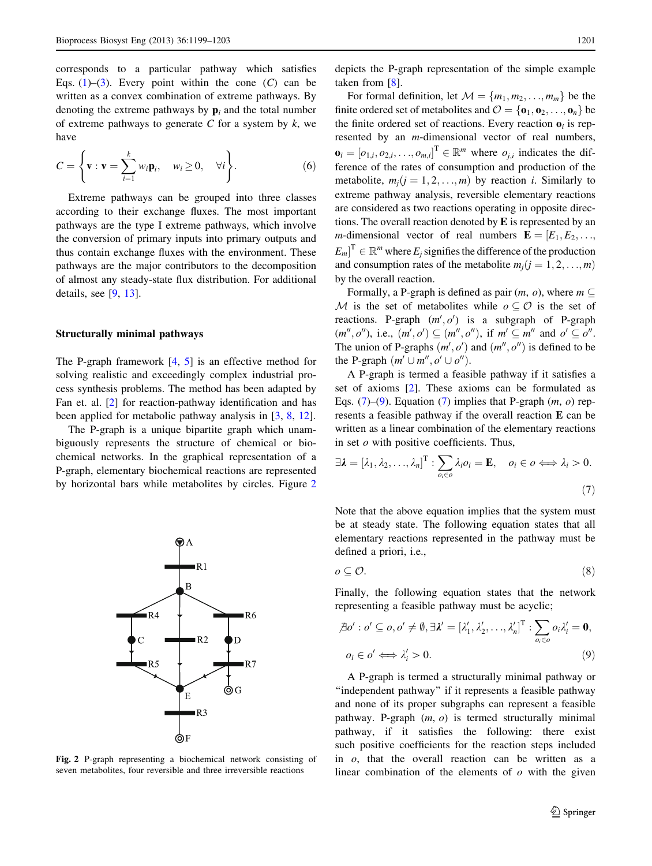<span id="page-2-0"></span>corresponds to a particular pathway which satisfies Eqs. [\(1](#page-1-0))–([3\)](#page-1-0). Every point within the cone  $(C)$  can be written as a convex combination of extreme pathways. By denoting the extreme pathways by  $\mathbf{p}_i$  and the total number of extreme pathways to generate  $C$  for a system by  $k$ , we have

$$
C = \left\{ \mathbf{v} : \mathbf{v} = \sum_{i=1}^{k} w_i \mathbf{p}_i, \quad w_i \ge 0, \quad \forall i \right\}.
$$
 (6)

Extreme pathways can be grouped into three classes according to their exchange fluxes. The most important pathways are the type I extreme pathways, which involve the conversion of primary inputs into primary outputs and thus contain exchange fluxes with the environment. These pathways are the major contributors to the decomposition of almost any steady-state flux distribution. For additional details, see [[9](#page-4-0), [13](#page-4-0)].

#### Structurally minimal pathways

The P-graph framework  $[4, 5]$  $[4, 5]$  $[4, 5]$  $[4, 5]$  is an effective method for solving realistic and exceedingly complex industrial process synthesis problems. The method has been adapted by Fan et. al. [[2\]](#page-4-0) for reaction-pathway identification and has been applied for metabolic pathway analysis in [\[3](#page-4-0), [8](#page-4-0), [12\]](#page-4-0).

The P-graph is a unique bipartite graph which unambiguously represents the structure of chemical or biochemical networks. In the graphical representation of a P-graph, elementary biochemical reactions are represented by horizontal bars while metabolites by circles. Figure 2



Fig. 2 P-graph representing a biochemical network consisting of seven metabolites, four reversible and three irreversible reactions

depicts the P-graph representation of the simple example taken from [\[8](#page-4-0)].

For formal definition, let  $\mathcal{M} = \{m_1, m_2, \ldots, m_m\}$  be the finite ordered set of metabolites and  $\mathcal{O} = {\bf{0}_1, 0_2, ..., 0_n}$  be the finite ordered set of reactions. Every reaction  $\mathbf{o}_i$  is represented by an *m*-dimensional vector of real numbers,  $\mathbf{o}_i = [o_{1,i}, o_{2,i}, \dots, o_{m,i}]^{\text{T}} \in \mathbb{R}^m$  where  $o_{j,i}$  indicates the dif-<br>ference of the rates of consumption and production of the ference of the rates of consumption and production of the metabolite,  $m_i$  ( $j = 1, 2, ..., m$ ) by reaction i. Similarly to extreme pathway analysis, reversible elementary reactions are considered as two reactions operating in opposite directions. The overall reaction denoted by E is represented by an *m*-dimensional vector of real numbers  $\mathbf{E} = [E_1, E_2, \dots, E_n]$  $[E_m]$ <sup>T</sup>  $\in \mathbb{R}^m$  where  $E_j$  signifies the difference of the production<br>and consumption rates of the metabolite  $m(i-1, 2, \ldots, m)$ and consumption rates of the metabolite  $m_i$  ( $j = 1, 2, ..., m$ ) by the overall reaction.

Formally, a P-graph is defined as pair  $(m, o)$ , where  $m \subseteq$ M is the set of metabolites while  $o \subset \mathcal{O}$  is the set of reactions. P-graph  $(m', o')$  is a subgraph of P-graph  $(m'', o'')$ , i.e.,  $(m', o') \subseteq (m'', o'')$ , if  $m' \subseteq m''$  and  $o' \subseteq o''$ . The union of P-graphs  $(m', o')$  and  $(m'', o'')$  is defined to be the P-graph  $(m' \cup m'', o' \cup o'')$ .

A P-graph is termed a feasible pathway if it satisfies a set of axioms [\[2](#page-4-0)]. These axioms can be formulated as Eqs. (7)–(9). Equation (7) implies that P-graph  $(m, o)$  represents a feasible pathway if the overall reaction E can be written as a linear combination of the elementary reactions in set  $o$  with positive coefficients. Thus,

$$
\exists \lambda = [\lambda_1, \lambda_2, \dots, \lambda_n]^{\mathrm{T}} : \sum_{o_i \in o} \lambda_i o_i = \mathbf{E}, \quad o_i \in o \iff \lambda_i > 0.
$$
\n(7)

Note that the above equation implies that the system must be at steady state. The following equation states that all elementary reactions represented in the pathway must be defined a priori, i.e.,

$$
o \subseteq \mathcal{O}.\tag{8}
$$

Finally, the following equation states that the network representing a feasible pathway must be acyclic;

$$
\mathcal{A}o': o' \subseteq o, o' \neq \emptyset, \exists \lambda' = [\lambda'_1, \lambda'_2, \dots, \lambda'_n]^\mathrm{T} : \sum_{o_i \in o} o_i \lambda'_i = \mathbf{0},
$$
  

$$
o_i \in o' \iff \lambda'_i > 0.
$$
 (9)

A P-graph is termed a structurally minimal pathway or ''independent pathway'' if it represents a feasible pathway and none of its proper subgraphs can represent a feasible pathway. P-graph  $(m, o)$  is termed structurally minimal pathway, if it satisfies the following: there exist such positive coefficients for the reaction steps included in  $o$ , that the overall reaction can be written as a linear combination of the elements of  $\sigma$  with the given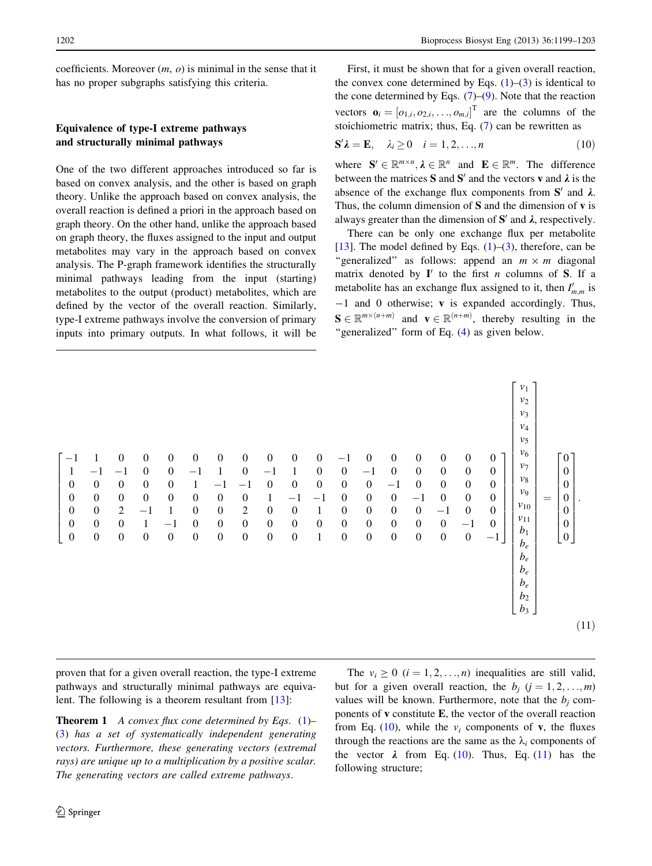<span id="page-3-0"></span>coefficients. Moreover  $(m, o)$  is minimal in the sense that it has no proper subgraphs satisfying this criteria.

# Equivalence of type-I extreme pathways and structurally minimal pathways

One of the two different approaches introduced so far is based on convex analysis, and the other is based on graph theory. Unlike the approach based on convex analysis, the overall reaction is defined a priori in the approach based on graph theory. On the other hand, unlike the approach based on graph theory, the fluxes assigned to the input and output metabolites may vary in the approach based on convex analysis. The P-graph framework identifies the structurally minimal pathways leading from the input (starting) metabolites to the output (product) metabolites, which are defined by the vector of the overall reaction. Similarly, type-I extreme pathways involve the conversion of primary inputs into primary outputs. In what follows, it will be

First, it must be shown that for a given overall reaction, the convex cone determined by Eqs.  $(1)$  $(1)$ – $(3)$  $(3)$  is identical to the cone determined by Eqs.  $(7)-(9)$  $(7)-(9)$  $(7)-(9)$ . Note that the reaction vectors  $\mathbf{o}_i = [o_{1,i}, o_{2,i}, \dots, o_{m,i}]$ <sup>T</sup> are the columns of the stoichiometric matrix; thus, Eq. ([7\)](#page-2-0) can be rewritten as

$$
\mathbf{S}'\lambda = \mathbf{E}, \quad \lambda_i \ge 0 \quad i = 1, 2, \dots, n \tag{10}
$$

where  $\mathbf{S}' \in \mathbb{R}^{m \times n}$ ,  $\lambda \in \mathbb{R}^n$  and  $\mathbf{E} \in \mathbb{R}^m$ . The difference<br>between the matrices  $\mathbf{S}$  and  $\mathbf{S}'$  and the vectors  $\mathbf{v}$  and is the between the matrices S and S' and the vectors v and  $\lambda$  is the absence of the exchange flux components from  $S'$  and  $\lambda$ . Thus, the column dimension of S and the dimension of v is always greater than the dimension of  $S'$  and  $\lambda$ , respectively.

There can be only one exchange flux per metabolite [\[13](#page-4-0)]. The model defined by Eqs.  $(1)$  $(1)$ – $(3)$  $(3)$ , therefore, can be "generalized" as follows: append an  $m \times m$  diagonal matrix denoted by  $I'$  to the first n columns of S. If a metabolite has an exchange flux assigned to it, then  $I'_{m,m}$  is -1 and 0 otherwise; v is expanded accordingly. Thus,  $S \in \mathbb{R}^{m \times (n+m)}$  and  $\mathbf{v} \in \mathbb{R}^{(n+m)}$ , thereby resulting in the "generalized" form of Eq. (4) as given below. "generalized" form of Eq. [\(4](#page-1-0)) as given below.



proven that for a given overall reaction, the type-I extreme pathways and structurally minimal pathways are equivalent. The following is a theorem resultant from [[13\]](#page-4-0):

**Theorem 1** A convex flux cone determined by Eqs.  $(1)$  $(1)$ – [\(3](#page-1-0)) has a set of systematically independent generating vectors. Furthermore, these generating vectors (extremal rays) are unique up to a multiplication by a positive scalar. The generating vectors are called extreme pathways.

The  $v_i \geq 0$   $(i = 1, 2, ..., n)$  inequalities are still valid, but for a given overall reaction, the  $b_j$   $(j = 1, 2, \ldots, m)$ values will be known. Furthermore, note that the  $b_i$  components of  $\bf{v}$  constitute  $\bf{E}$ , the vector of the overall reaction from Eq. (10), while the  $v_i$  components of **v**, the fluxes through the reactions are the same as the  $\lambda_i$  components of the vector  $\lambda$  from Eq. (10). Thus, Eq. (11) has the following structure;